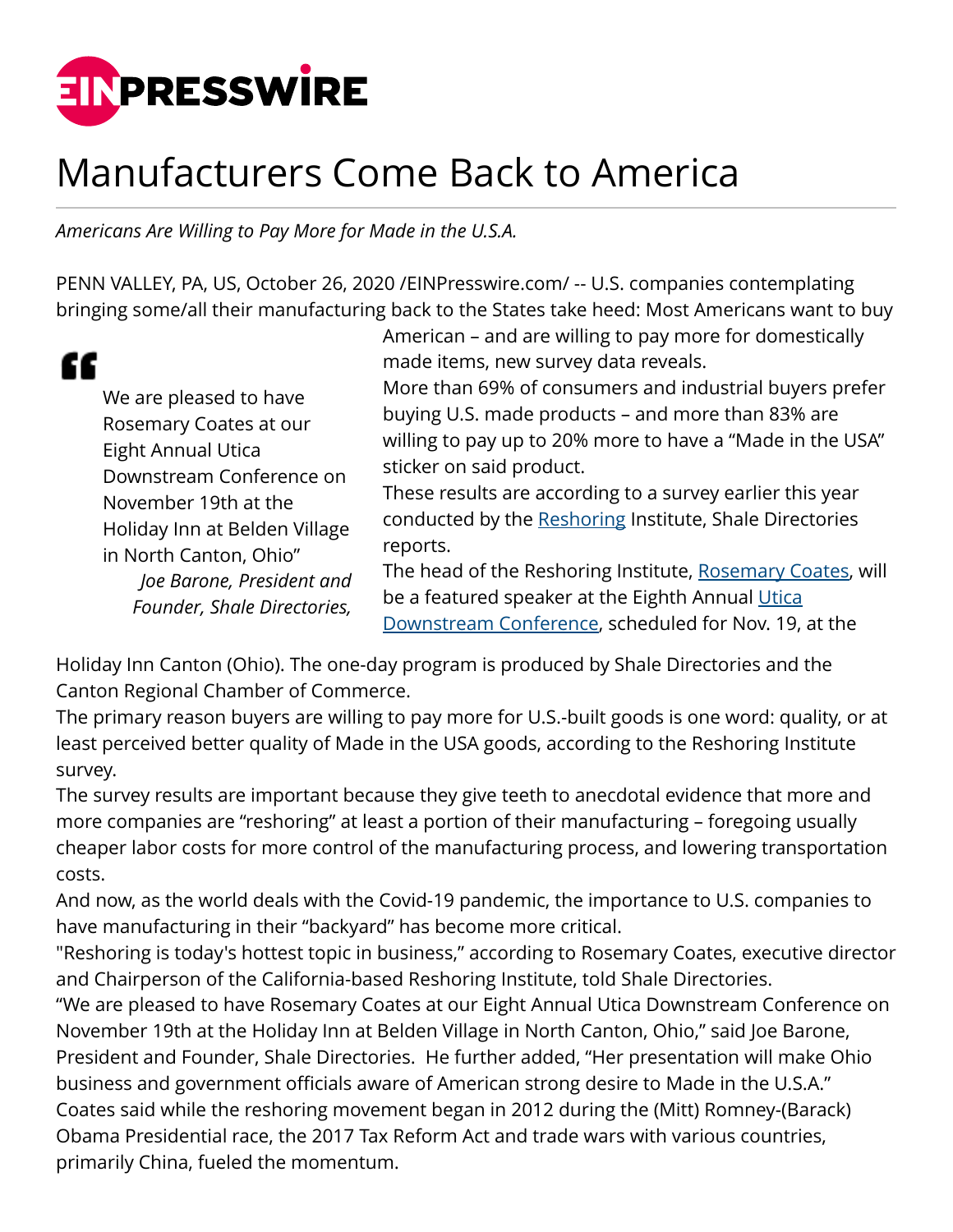

## Manufacturers Come Back to America

*Americans Are Willing to Pay More for Made in the U.S.A.*

PENN VALLEY, PA, US, October 26, 2020 [/EINPresswire.com/](http://www.einpresswire.com) -- U.S. companies contemplating bringing some/all their manufacturing back to the States take heed: Most Americans want to buy

## "

We are pleased to have Rosemary Coates at our Eight Annual Utica Downstream Conference on November 19th at the Holiday Inn at Belden Village in North Canton, Ohio" *Joe Barone, President and Founder, Shale Directories,*

American – and are willing to pay more for domestically made items, new survey data reveals.

More than 69% of consumers and industrial buyers prefer buying U.S. made products – and more than 83% are willing to pay up to 20% more to have a "Made in the USA" sticker on said product.

These results are according to a survey earlier this year conducted by the [Reshoring](http://www.uticadownstream.com) Institute, Shale Directories reports.

The head of the Reshoring Institute, [Rosemary Coates,](http://www.uticadownstream.com) will be a featured speaker at the Eighth Annual [Utica](http://www.uticadownstream.com) [Downstream Conference,](http://www.uticadownstream.com) scheduled for Nov. 19, at the

Holiday Inn Canton (Ohio). The one-day program is produced by Shale Directories and the Canton Regional Chamber of Commerce.

The primary reason buyers are willing to pay more for U.S.-built goods is one word: quality, or at least perceived better quality of Made in the USA goods, according to the Reshoring Institute survey.

The survey results are important because they give teeth to anecdotal evidence that more and more companies are "reshoring" at least a portion of their manufacturing – foregoing usually cheaper labor costs for more control of the manufacturing process, and lowering transportation costs.

And now, as the world deals with the Covid-19 pandemic, the importance to U.S. companies to have manufacturing in their "backyard" has become more critical.

"Reshoring is today's hottest topic in business," according to Rosemary Coates, executive director and Chairperson of the California-based Reshoring Institute, told Shale Directories.

"We are pleased to have Rosemary Coates at our Eight Annual Utica Downstream Conference on November 19th at the Holiday Inn at Belden Village in North Canton, Ohio," said Joe Barone, President and Founder, Shale Directories. He further added, "Her presentation will make Ohio business and government officials aware of American strong desire to Made in the U.S.A." Coates said while the reshoring movement began in 2012 during the (Mitt) Romney-(Barack) Obama Presidential race, the 2017 Tax Reform Act and trade wars with various countries, primarily China, fueled the momentum.